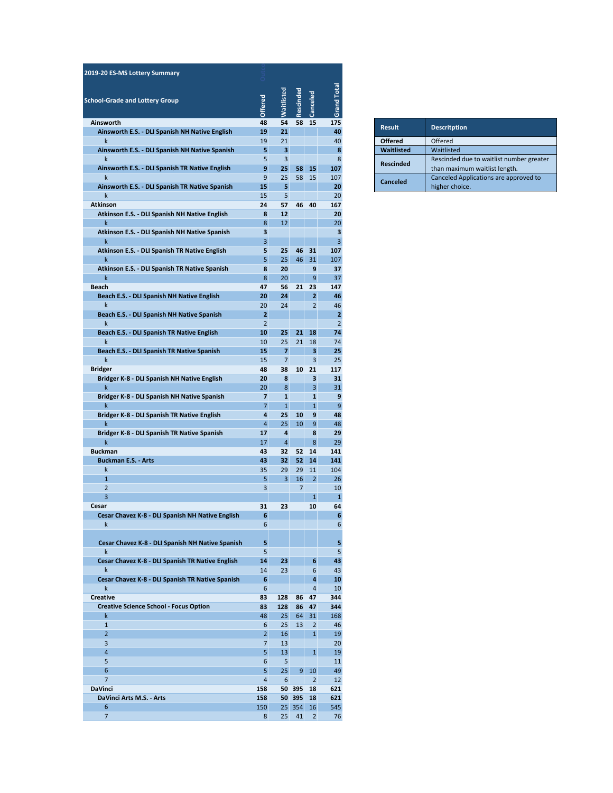| 2019-20 ES-MS Lottery Summary                                    |                                  |                         |                |                                |                     |                  |                       |
|------------------------------------------------------------------|----------------------------------|-------------------------|----------------|--------------------------------|---------------------|------------------|-----------------------|
| <b>School-Grade and Lottery Group</b>                            | <b>Offered</b>                   | Waitlisted              | Rescinded      | Canceled                       | <b>Grand Total</b>  |                  |                       |
| Ainsworth                                                        | 48                               | 54                      | 58             | 15                             | 175                 | <b>Result</b>    | Descritpti            |
| Ainsworth E.S. - DLI Spanish NH Native English<br>k              | 19<br>19                         | 21<br>21                |                |                                | 40<br>40            | <b>Offered</b>   | Offered               |
| Ainsworth E.S. - DLI Spanish NH Native Spanish                   | 5                                | 3                       |                |                                | 8                   | Waitlisted       | Waitlisted            |
| k                                                                | 5                                | $\overline{\mathbf{3}}$ |                |                                | 8                   | <b>Rescinded</b> | Rescinded             |
| Ainsworth E.S. - DLI Spanish TR Native English<br>k              | 9<br>9                           | 25<br>25                | 58<br>58       | 15<br>15                       | 107<br>107          |                  | than maxi<br>Canceled |
| Ainsworth E.S. - DLI Spanish TR Native Spanish                   | 15                               | 5                       |                |                                | 20                  | <b>Canceled</b>  | higher cho            |
| k                                                                | 15                               | 5                       |                |                                | 20                  |                  |                       |
| <b>Atkinson</b>                                                  | 24                               | 57                      | 46             | 40                             | 167                 |                  |                       |
| Atkinson E.S. - DLI Spanish NH Native English<br>k               | 8<br>8                           | 12<br>12                |                |                                | 20<br>20            |                  |                       |
| Atkinson E.S. - DLI Spanish NH Native Spanish                    | 3                                |                         |                |                                | 3                   |                  |                       |
| k                                                                | 3                                |                         |                |                                | 3                   |                  |                       |
| Atkinson E.S. - DLI Spanish TR Native English                    | 5                                | 25                      | 46             | 31                             | 107                 |                  |                       |
| k<br>Atkinson E.S. - DLI Spanish TR Native Spanish               | 5<br>8                           | 25<br>20                | 46             | 31<br>9                        | 107<br>37           |                  |                       |
| k                                                                | 8                                | 20                      |                | 9                              | 37                  |                  |                       |
| <b>Beach</b>                                                     | 47                               | 56                      | 21             | 23                             | 147                 |                  |                       |
| Beach E.S. - DLI Spanish NH Native English                       | 20                               | 24                      |                | $\overline{2}$                 | 46                  |                  |                       |
| k                                                                | 20                               | 24                      |                | $\overline{2}$                 | 46                  |                  |                       |
| Beach E.S. - DLI Spanish NH Native Spanish<br>k                  | $\overline{2}$<br>$\overline{2}$ |                         |                |                                | 2<br>$\overline{2}$ |                  |                       |
| Beach E.S. - DLI Spanish TR Native English                       | 10                               | 25                      | 21             | 18                             | 74                  |                  |                       |
| k                                                                | 10                               | 25                      | 21             | 18                             | 74                  |                  |                       |
| Beach E.S. - DLI Spanish TR Native Spanish                       | 15                               | 7                       |                | 3                              | 25                  |                  |                       |
| k                                                                | 15                               | $\overline{7}$          |                | 3                              | 25                  |                  |                       |
| <b>Bridger</b><br>Bridger K-8 - DLI Spanish NH Native English    | 48<br>20                         | 38<br>8                 | 10             | 21<br>3                        | 117<br>31           |                  |                       |
| k                                                                | 20                               | 8                       |                | 3                              | 31                  |                  |                       |
| Bridger K-8 - DLI Spanish NH Native Spanish                      | 7                                | $\mathbf{1}$            |                | 1                              | 9                   |                  |                       |
| k                                                                | $\overline{7}$                   | $\mathbf{1}$            |                | $\mathbf{1}$                   | 9                   |                  |                       |
| Bridger K-8 - DLI Spanish TR Native English                      | 4                                | 25                      | 10             | 9                              | 48                  |                  |                       |
| k<br>Bridger K-8 - DLI Spanish TR Native Spanish                 | 4<br>17                          | 25<br>4                 | 10             | 9<br>8                         | 48<br>29            |                  |                       |
| k                                                                | 17                               | $\overline{\mathbf{4}}$ |                | 8                              | 29                  |                  |                       |
| <b>Buckman</b>                                                   | 43                               | 32                      | 52             | 14                             | 141                 |                  |                       |
| <b>Buckman E.S. - Arts</b>                                       | 43                               | 32                      | 52             | 14                             | 141                 |                  |                       |
| k<br>$\mathbf{1}$                                                | 35<br>5                          | 29<br>3                 | 29<br>16       | 11<br>$\overline{2}$           | 104<br>26           |                  |                       |
| $\overline{2}$                                                   | 3                                |                         | $\overline{7}$ |                                | 10                  |                  |                       |
| 3                                                                |                                  |                         |                | $\mathbf{1}$                   | $\mathbf{1}$        |                  |                       |
| Cesar                                                            | 31                               | 23                      |                | 10                             | 64                  |                  |                       |
| Cesar Chavez K-8 - DLI Spanish NH Native Englis                  |                                  |                         |                |                                |                     |                  |                       |
| k                                                                | 6                                |                         |                |                                | 6                   |                  |                       |
| Cesar Chavez K-8 - DLI Spanish NH Native Spanish                 | 5                                |                         |                |                                | 5                   |                  |                       |
| $\mathsf{k}$                                                     | 5                                |                         |                |                                | 5                   |                  |                       |
| Cesar Chavez K-8 - DLI Spanish TR Native English                 | 14                               | 23                      |                | 6                              | 43                  |                  |                       |
| $\mathsf{k}$<br>Cesar Chavez K-8 - DLI Spanish TR Native Spanish | 14<br>6                          | 23                      |                | 6<br>4                         | 43                  |                  |                       |
| k                                                                | 6                                |                         |                | $\overline{\mathbf{4}}$        | 10<br>10            |                  |                       |
| Creative                                                         | 83                               | 128                     | 86             | 47                             | 344                 |                  |                       |
| <b>Creative Science School - Focus Option</b>                    | 83                               | 128                     | 86             | 47                             | 344                 |                  |                       |
| k                                                                | 48                               | 25                      | 64             | 31                             | 168                 |                  |                       |
| $\mathbf{1}$<br>$\overline{2}$                                   | 6<br>$\overline{2}$              | 25<br>16                | 13             | $\overline{2}$<br>$\mathbf{1}$ | 46<br>19            |                  |                       |
| 3                                                                | $\overline{7}$                   | 13                      |                |                                | 20                  |                  |                       |
| 4                                                                | $\overline{5}$                   | 13                      |                | $\mathbf{1}$                   | 19                  |                  |                       |
| 5                                                                | 6                                | 5                       |                |                                | 11                  |                  |                       |
| 6                                                                | 5                                | 25                      | 9              | 10                             | 49                  |                  |                       |
| $\overline{7}$<br><b>DaVinci</b>                                 | $\overline{a}$<br>158            | $\boldsymbol{6}$        | 50 395         | $\overline{2}$<br>18           | 12<br>621           |                  |                       |
| DaVinci Arts M.S. - Arts                                         | 158                              |                         | 50 395         | 18                             | 621                 |                  |                       |
| 6                                                                | 150                              | 25                      | 354            | 16                             | 545                 |                  |                       |
| $\overline{7}$                                                   | 8                                | 25                      | 41             | $\overline{2}$                 | 76                  |                  |                       |

| <b>Result</b>    | <b>Descritption</b>                                                       |
|------------------|---------------------------------------------------------------------------|
| <b>Offered</b>   | Offered                                                                   |
| Waitlisted       | Waitlisted                                                                |
| <b>Rescinded</b> | Rescinded due to waitlist number greater<br>than maximum waitlist length. |
| Canceled         | Canceled Applications are approved to<br>higher choice.                   |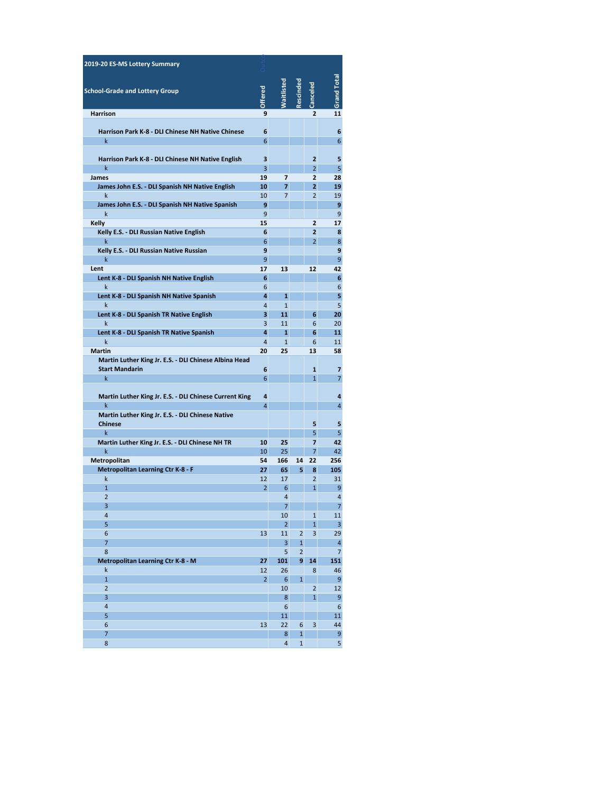| 2019-20 ES-MS Lottery Summary                                                  |                |                            |                                |                                  |                                           |
|--------------------------------------------------------------------------------|----------------|----------------------------|--------------------------------|----------------------------------|-------------------------------------------|
|                                                                                |                |                            |                                |                                  |                                           |
| <b>School-Grade and Lottery Group</b>                                          | <b>Offered</b> | <b>Maitlisted</b>          | Rescinded                      | Canceled                         | Grand Total                               |
| <b>Harrison</b>                                                                | 9              |                            |                                | $\overline{2}$                   | 11                                        |
|                                                                                |                |                            |                                |                                  |                                           |
| <b>Harrison Park K-8 - DLI Chinese NH Native Chinese</b><br>k                  | 6<br>6         |                            |                                |                                  | 6<br>6                                    |
|                                                                                |                |                            |                                |                                  |                                           |
| Harrison Park K-8 - DLI Chinese NH Native English                              | 3              |                            |                                | $\overline{2}$                   | 5                                         |
| k                                                                              | 3              |                            |                                | $\overline{2}$                   | 5                                         |
| James<br>James John E.S. - DLI Spanish NH Native English                       | 19<br>10       | 7<br>7                     |                                | $\overline{2}$<br>2              | 28<br>19                                  |
| k                                                                              | 10             | 7                          |                                | 2                                | 19                                        |
| James John E.S. - DLI Spanish NH Native Spanish                                | 9              |                            |                                |                                  | 9                                         |
| k                                                                              | 9              |                            |                                |                                  | 9                                         |
| Kelly<br>Kelly E.S. - DLI Russian Native English                               | 15<br>6        |                            |                                | $\overline{2}$<br>$\overline{2}$ | 17<br>8                                   |
| k                                                                              | 6              |                            |                                | $\overline{2}$                   | 8                                         |
| Kelly E.S. - DLI Russian Native Russian                                        | 9              |                            |                                |                                  | 9                                         |
| k                                                                              | 9              |                            |                                |                                  | 9                                         |
| Lent<br>Lent K-8 - DLI Spanish NH Native English                               | 17<br>6        | 13                         |                                | 12                               | 42<br>6                                   |
| $\mathsf k$                                                                    | 6              |                            |                                |                                  | 6                                         |
| Lent K-8 - DLI Spanish NH Native Spanish                                       | 4              | $\mathbf{1}$               |                                |                                  | 5                                         |
| k                                                                              | 4              | $\mathbf{1}$               |                                |                                  | 5                                         |
| Lent K-8 - DLI Spanish TR Native English<br>k                                  | 3<br>3         | 11<br>11                   |                                | 6<br>6                           | 20<br>20                                  |
| Lent K-8 - DLI Spanish TR Native Spanish                                       | 4              | $\mathbf{1}$               |                                | 6                                | 11                                        |
| k                                                                              | $\overline{4}$ | $\mathbf{1}$               |                                | 6                                | 11                                        |
| <b>Martin</b>                                                                  | 20             | 25                         |                                | 13                               | 58                                        |
| Martin Luther King Jr. E.S. - DLI Chinese Albina Head<br><b>Start Mandarin</b> | 6              |                            |                                | $\mathbf{1}$                     | 7                                         |
| k.                                                                             | 6              |                            |                                | $\mathbf{1}$                     | 7                                         |
|                                                                                |                |                            |                                |                                  |                                           |
| Martin Luther King Jr. E.S. - DLI Chinese Current King                         | 4              |                            |                                |                                  | 4                                         |
| k<br>Martin Luther King Jr. E.S. - DLI Chinese Native                          | $\overline{4}$ |                            |                                |                                  | 4                                         |
| <b>Chinese</b>                                                                 |                |                            |                                | 5                                | 5                                         |
| $\mathsf{k}$                                                                   |                |                            |                                | 5                                | 5                                         |
| Martin Luther King Jr. E.S. - DLI Chinese NH TR                                | 10             | 25                         |                                | $\overline{7}$                   | 42                                        |
| $\mathsf{k}$<br>Metropolitan                                                   | 10<br>54       | 25<br>166                  | 14                             | $\overline{7}$<br>22             | 42<br>256                                 |
| <b>Metropolitan Learning Ctr K-8 - F</b>                                       | 27             | 65                         | 5                              | 8                                | 105                                       |
| k                                                                              | 12             | 17                         |                                | $\overline{2}$                   | 31                                        |
| $\mathbf{1}$                                                                   | $\overline{2}$ | 6                          |                                | $\overline{1}$                   | 9                                         |
| $\overline{2}$<br>3                                                            |                | $\overline{4}$<br>$\prime$ |                                |                                  | 4<br>Ī.                                   |
| 4                                                                              |                | 10                         |                                | $\mathbf 1$                      | 11                                        |
| 5                                                                              |                | $\overline{2}$             |                                | $\mathbf{1}$                     | $\overline{\mathbf{3}}$                   |
| 6                                                                              | 13             | 11                         | $\overline{2}$                 | 3                                | 29                                        |
| 7<br>8                                                                         |                | 3<br>5                     | $\mathbf{1}$<br>$\overline{2}$ |                                  | $\overline{\mathbf{4}}$<br>$\overline{7}$ |
| Metropolitan Learning Ctr K-8 - M                                              | 27             | 101                        | 9                              | 14                               | 151                                       |
| k                                                                              | 12             | 26                         |                                | 8                                | 46                                        |
| $\mathbf{1}$                                                                   | $\overline{2}$ | 6                          | $\mathbf{1}$                   |                                  | 9                                         |
| $\overline{2}$<br>3                                                            |                | 10<br>8                    |                                | $\overline{2}$<br>$\mathbf{1}$   | 12<br>9                                   |
| 4                                                                              |                | $\boldsymbol{6}$           |                                |                                  | $6\phantom{1}$                            |
| 5                                                                              |                | 11                         |                                |                                  | 11                                        |
| 6                                                                              | 13             | 22                         | 6                              | 3                                | 44                                        |
| 7<br>8                                                                         |                | 8<br>4                     | $\mathbf{1}$<br>$\mathbf{1}$   |                                  | 9<br>5                                    |
|                                                                                |                |                            |                                |                                  |                                           |